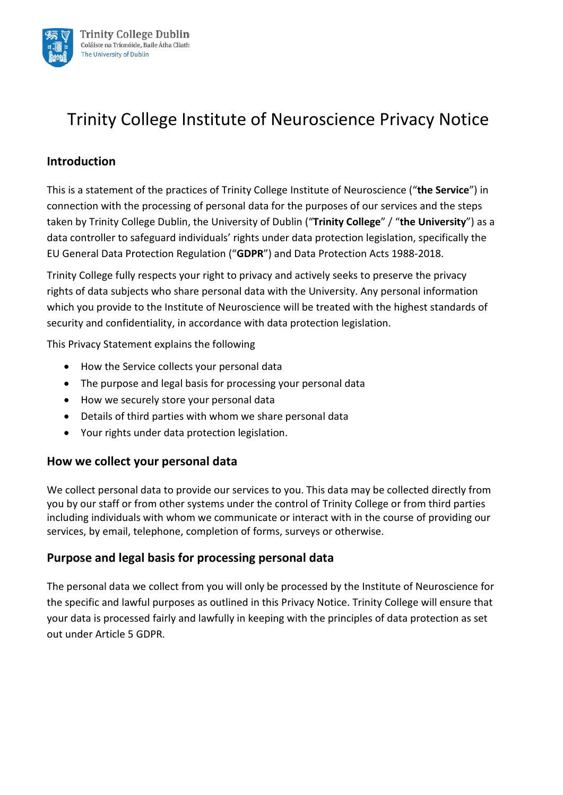

## **Introduction**

This is a statement of the practices of Trinity College Institute of Neuroscience ("**the Service**") in connection with the processing of personal data for the purposes of our services and the steps taken by Trinity College Dublin, the University of Dublin ("**Trinity College**" / "**the University**") as a data controller to safeguard individuals' rights under data protection legislation, specifically the EU General Data Protection Regulation ("**GDPR**") and Data Protection Acts 1988-2018.

Trinity College fully respects your right to privacy and actively seeks to preserve the privacy rights of data subjects who share personal data with the University. Any personal information which you provide to the Institute of Neuroscience will be treated with the highest standards of security and confidentiality, in accordance with data protection legislation.

This Privacy Statement explains the following

- How the Service collects your personal data
- The purpose and legal basis for processing your personal data
- How we securely store your personal data
- Details of third parties with whom we share personal data
- Your rights under data protection legislation.

## **How we collect your personal data**

We collect personal data to provide our services to you. This data may be collected directly from you by our staff or from other systems under the control of Trinity College or from third parties including individuals with whom we communicate or interact with in the course of providing our services, by email, telephone, completion of forms, surveys or otherwise.

## **Purpose and legal basis for processing personal data**

The personal data we collect from you will only be processed by the Institute of Neuroscience for the specific and lawful purposes as outlined in this Privacy Notice. Trinity College will ensure that your data is processed fairly and lawfully in keeping with the principles of data protection as set out under Article 5 GDPR.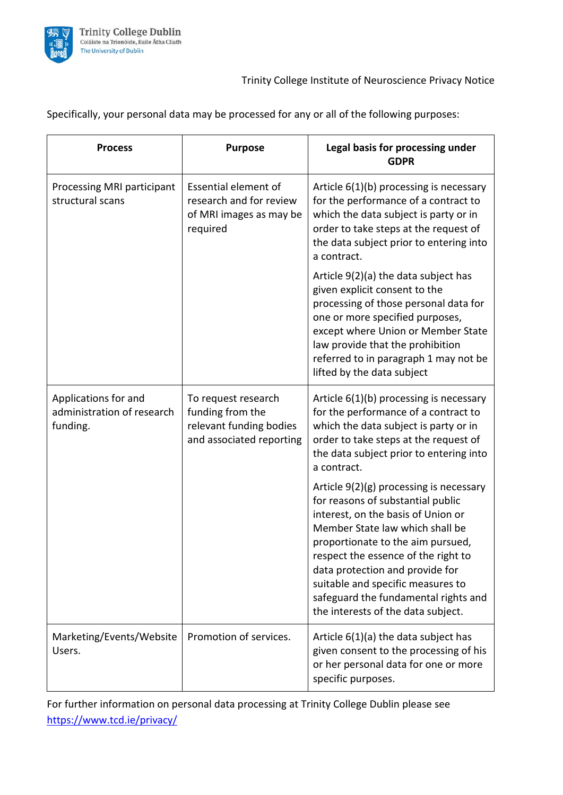

Specifically, your personal data may be processed for any or all of the following purposes:

| <b>Process</b>                                                 | <b>Purpose</b>                                                                                 | Legal basis for processing under<br><b>GDPR</b>                                                                                                                                                                                                                                                                                                                                         |
|----------------------------------------------------------------|------------------------------------------------------------------------------------------------|-----------------------------------------------------------------------------------------------------------------------------------------------------------------------------------------------------------------------------------------------------------------------------------------------------------------------------------------------------------------------------------------|
| Processing MRI participant<br>structural scans                 | <b>Essential element of</b><br>research and for review<br>of MRI images as may be<br>required  | Article $6(1)(b)$ processing is necessary<br>for the performance of a contract to<br>which the data subject is party or in<br>order to take steps at the request of<br>the data subject prior to entering into<br>a contract.                                                                                                                                                           |
|                                                                |                                                                                                | Article 9(2)(a) the data subject has<br>given explicit consent to the<br>processing of those personal data for<br>one or more specified purposes,<br>except where Union or Member State<br>law provide that the prohibition<br>referred to in paragraph 1 may not be<br>lifted by the data subject                                                                                      |
| Applications for and<br>administration of research<br>funding. | To request research<br>funding from the<br>relevant funding bodies<br>and associated reporting | Article 6(1)(b) processing is necessary<br>for the performance of a contract to<br>which the data subject is party or in<br>order to take steps at the request of<br>the data subject prior to entering into<br>a contract.                                                                                                                                                             |
|                                                                |                                                                                                | Article 9(2)(g) processing is necessary<br>for reasons of substantial public<br>interest, on the basis of Union or<br>Member State law which shall be<br>proportionate to the aim pursued,<br>respect the essence of the right to<br>data protection and provide for<br>suitable and specific measures to<br>safeguard the fundamental rights and<br>the interests of the data subject. |
| Marketing/Events/Website<br>Users.                             | Promotion of services.                                                                         | Article $6(1)(a)$ the data subject has<br>given consent to the processing of his<br>or her personal data for one or more<br>specific purposes.                                                                                                                                                                                                                                          |

For further information on personal data processing at Trinity College Dublin please see <https://www.tcd.ie/privacy/>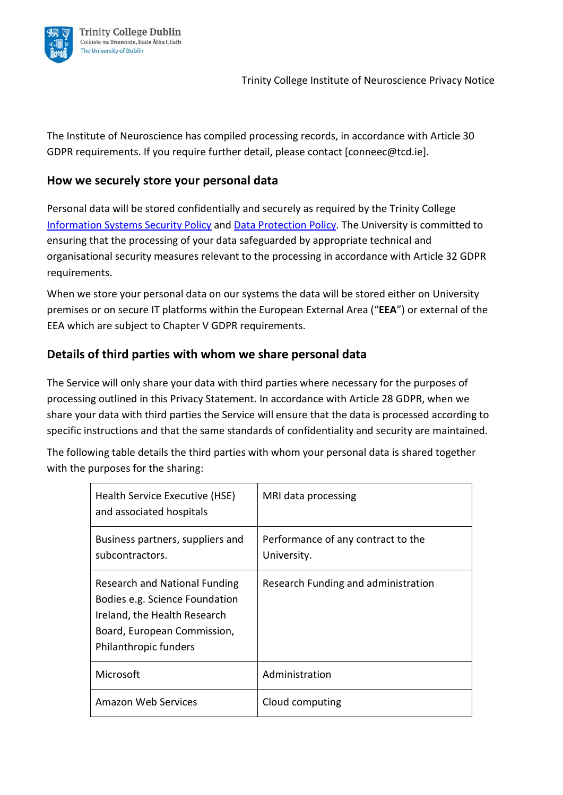

The Institute of Neuroscience has compiled processing records, in accordance with Article 30 GDPR requirements. If you require further detail, please contact [conneec@tcd.ie].

# **How we securely store your personal data**

Personal data will be stored confidentially and securely as required by the Trinity Colleg[e](https://www.tcd.ie/ITSecurity/policies/infosec.php) [Information Systems Security Policy](https://www.tcd.ie/ITSecurity/policies/infosec.php) and [Data Protection Policy.](https://www.tcd.ie/dataprotection/assets/docs/dataprotectionpolicy/Trinity_College_Dublin_Data_Protection_Policy_16122020.pdf) The University is committed to ensuring that the processing of your data safeguarded by appropriate technical and organisational security measures relevant to the processing in accordance with Article 32 GDPR requirements.

When we store your personal data on our systems the data will be stored either on University premises or on secure IT platforms within the European External Area ("**EEA**") or external of the EEA which are subject to Chapter V GDPR requirements.

# **Details of third parties with whom we share personal data**

The Service will only share your data with third parties where necessary for the purposes of processing outlined in this Privacy Statement. In accordance with Article 28 GDPR, when we share your data with third parties the Service will ensure that the data is processed according to specific instructions and that the same standards of confidentiality and security are maintained.

The following table details the third parties with whom your personal data is shared together with the purposes for the sharing:

| Health Service Executive (HSE)<br>and associated hospitals                                                                                                     | MRI data processing                               |
|----------------------------------------------------------------------------------------------------------------------------------------------------------------|---------------------------------------------------|
| Business partners, suppliers and<br>subcontractors.                                                                                                            | Performance of any contract to the<br>University. |
| <b>Research and National Funding</b><br>Bodies e.g. Science Foundation<br>Ireland, the Health Research<br>Board, European Commission,<br>Philanthropic funders | Research Funding and administration               |
| Microsoft                                                                                                                                                      | Administration                                    |
| <b>Amazon Web Services</b>                                                                                                                                     | Cloud computing                                   |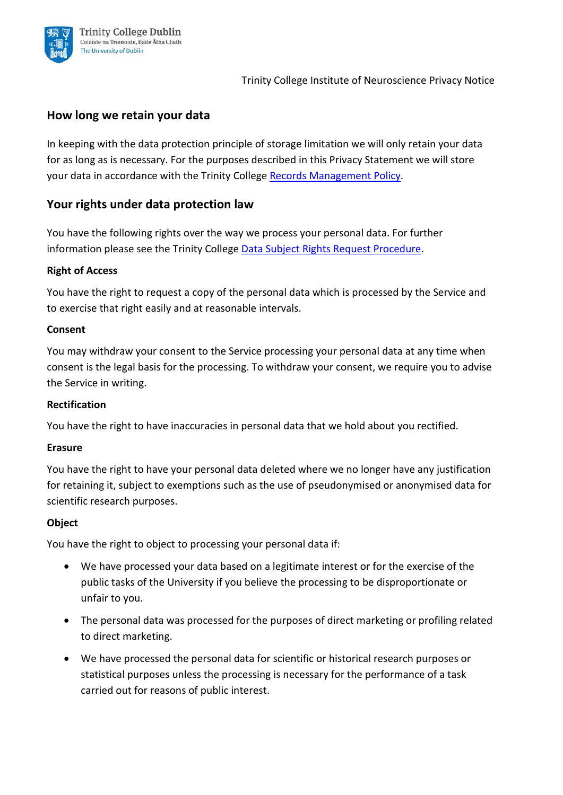

# **How long we retain your data**

In keeping with the data protection principle of storage limitation we will only retain your data for as long as is necessary. For the purposes described in this Privacy Statement we will store your data in accordance with the Trinity College [Records Management Policy.](https://www.tcd.ie/about/policies/160713%20Records%20Management%20Policy_website.pdf)

## **Your rights under data protection law**

You have the following rights over the way we process your personal data. For further information please see the Trinity College [Data Subject Rights Request Procedure.](https://www.tcd.ie/dataprotection/assets/docs/yourrights/TCD_Data_Subject_Rights_Request_Procedure.pdf)

## **Right of Access**

You have the right to request a copy of the personal data which is processed by the Service and to exercise that right easily and at reasonable intervals.

#### **Consent**

You may withdraw your consent to the Service processing your personal data at any time when consent is the legal basis for the processing. To withdraw your consent, we require you to advise the Service in writing.

#### **Rectification**

You have the right to have inaccuracies in personal data that we hold about you rectified.

#### **Erasure**

You have the right to have your personal data deleted where we no longer have any justification for retaining it, subject to exemptions such as the use of pseudonymised or anonymised data for scientific research purposes.

#### **Object**

You have the right to object to processing your personal data if:

- We have processed your data based on a legitimate interest or for the exercise of the public tasks of the University if you believe the processing to be disproportionate or unfair to you.
- The personal data was processed for the purposes of direct marketing or profiling related to direct marketing.
- We have processed the personal data for scientific or historical research purposes or statistical purposes unless the processing is necessary for the performance of a task carried out for reasons of public interest.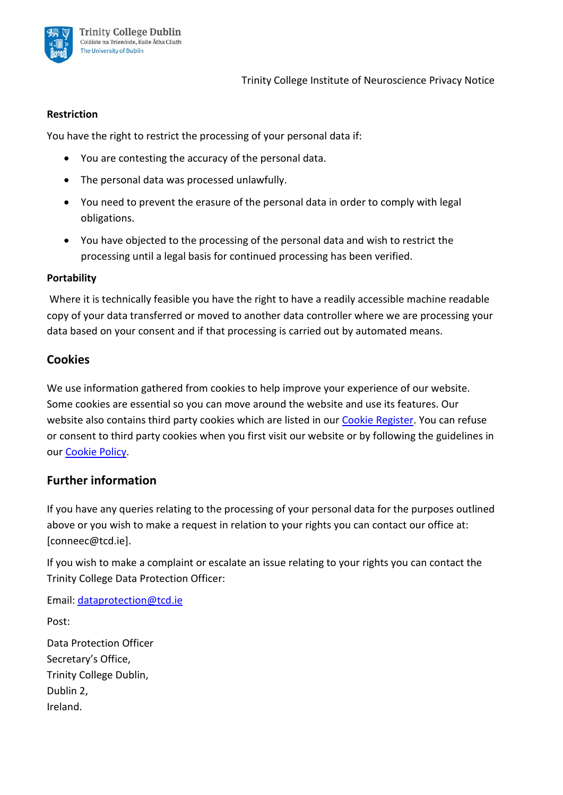

#### **Restriction**

You have the right to restrict the processing of your personal data if:

- You are contesting the accuracy of the personal data.
- The personal data was processed unlawfully.
- You need to prevent the erasure of the personal data in order to comply with legal obligations.
- You have objected to the processing of the personal data and wish to restrict the processing until a legal basis for continued processing has been verified.

#### **Portability**

Where it is technically feasible you have the right to have a readily accessible machine readable copy of your data transferred or moved to another data controller where we are processing your data based on your consent and if that processing is carried out by automated means.

## **Cookies**

We use information gathered from cookies to help improve your experience of our website. Some cookies are essential so you can move around the website and use its features. Our website also contains third party cookies which are listed in our [Cookie Register.](https://www.tcd.ie/about/policies/cookie-register/) You can refuse or consent to third party cookies when you first visit our website or by following the guidelines in our [Cookie Policy.](https://www.tcd.ie/about/policies/cookie-policy.php)

## **Further information**

If you have any queries relating to the processing of your personal data for the purposes outlined above or you wish to make a request in relation to your rights you can contact our office at: [conneec@tcd.ie].

If you wish to make a complaint or escalate an issue relating to your rights you can contact the Trinity College Data Protection Officer:

Email: [dataprotection@tcd.ie](mailto:dataprotection@tcd.ie)

Post:

Data Protection Officer Secretary's Office, Trinity College Dublin, Dublin 2, Ireland.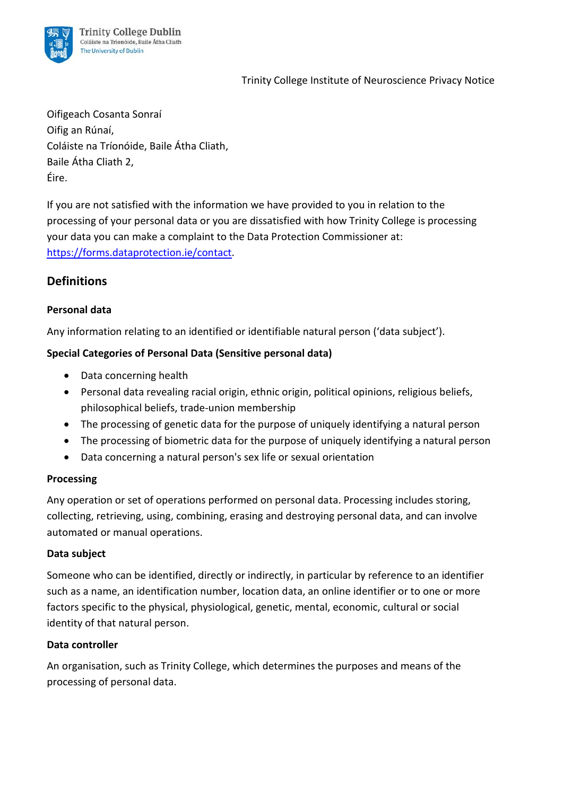

Oifigeach Cosanta Sonraí Oifig an Rúnaí, Coláiste na Tríonóide, Baile Átha Cliath, Baile Átha Cliath 2, Éire.

If you are not satisfied with the information we have provided to you in relation to the processing of your personal data or you are dissatisfied with how Trinity College is processing your data you can make a complaint to the Data Protection Commissioner at: [https://forms.dataprotection.ie/contact.](https://forms.dataprotection.ie/contact)

# **Definitions**

## **Personal data**

Any information relating to an identified or identifiable natural person ('data subject').

## **Special Categories of Personal Data (Sensitive personal data)**

- Data concerning health
- Personal data revealing racial origin, ethnic origin, political opinions, religious beliefs, philosophical beliefs, trade-union membership
- The processing of genetic data for the purpose of uniquely identifying a natural person
- The processing of biometric data for the purpose of uniquely identifying a natural person
- Data concerning a natural person's sex life or sexual orientation

## **Processing**

Any operation or set of operations performed on personal data. Processing includes storing, collecting, retrieving, using, combining, erasing and destroying personal data, and can involve automated or manual operations.

## **Data subject**

Someone who can be identified, directly or indirectly, in particular by reference to an identifier such as a name, an identification number, location data, an online identifier or to one or more factors specific to the physical, physiological, genetic, mental, economic, cultural or social identity of that natural person.

## **Data controller**

An organisation, such as Trinity College, which determines the purposes and means of the processing of personal data.